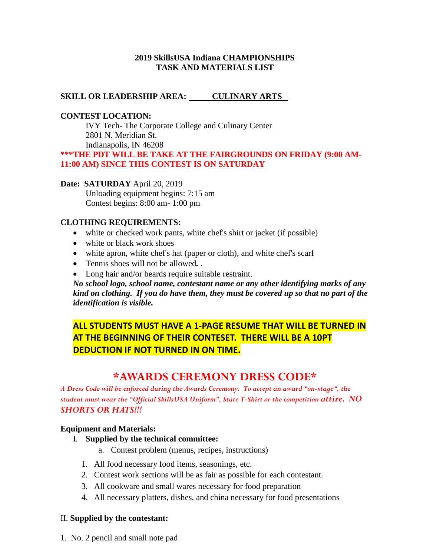### **2019 SkillsUSA Indiana CHAMPIONSHIPS TASK AND MATERIALS LIST**

### **SKILL OR LEADERSHIP AREA: CULINARY ARTS**

#### **CONTEST LOCATION:**

IVY Tech- The Corporate College and Culinary Center 2801 N. Meridian St. Indianapolis, IN 46208

**\*\*\*THE PDT WILL BE TAKE AT THE FAIRGROUNDS ON FRIDAY (9:00 AM-11:00 AM) SINCE THIS CONTEST IS ON SATURDAY**

#### **Date: SATURDAY** April 20, 2019

Unloading equipment begins: 7:15 am Contest begins: 8:00 am- 1:00 pm

#### **CLOTHING REQUIREMENTS:**

- white or checked work pants, white chef's shirt or jacket (if possible)
- white or black work shoes
- white apron, white chef's hat (paper or cloth), and white chef's scarf
- Tennis shoes will not be allowed*.* .
- Long hair and/or beards require suitable restraint.

*No school logo, school name, contestant name or any other identifying marks of any kind on clothing. If you do have them, they must be covered up so that no part of the identification is visible.*

## **ALL STUDENTS MUST HAVE A 1-PAGE RESUME THAT WILL BE TURNED IN AT THE BEGINNING OF THEIR CONTESET. THERE WILL BE A 10PT DEDUCTION IF NOT TURNED IN ON TIME.**

## **\*AWARDS CEREMONY DRESS CODE\***

*A Dress Code will be enforced during the Awards Ceremony. To accept an award "on-stage", the student must wear the "Official SkillsUSA Uniform", State T-Shirt or the competition attire. NO SHORTS OR HATS!!!*

#### **Equipment and Materials:**

#### I. **Supplied by the technical committee:**

- a. Contest problem (menus, recipes, instructions)
- 1. All food necessary food items, seasonings, etc.
- 2. Contest work sections will be as fair as possible for each contestant.
- 3. All cookware and small wares necessary for food preparation
- 4. All necessary platters, dishes, and china necessary for food presentations

#### II. **Supplied by the contestant:**

1. No. 2 pencil and small note pad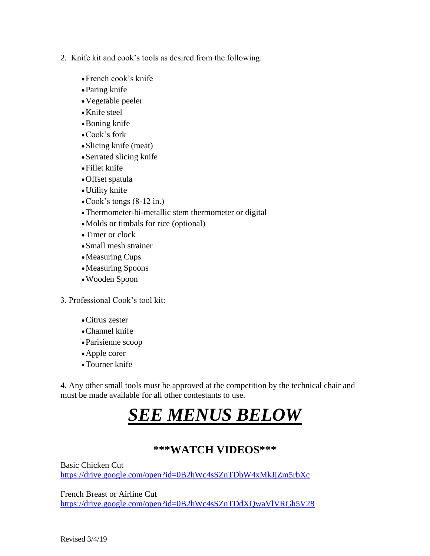- 2. Knife kit and cook's tools as desired from the following:
	- •French cook's knife
	- •Paring knife
	- •Vegetable peeler
	- •Knife steel
	- •Boning knife
	- •Cook's fork
	- •Slicing knife (meat)
	- •Serrated slicing knife
	- •Fillet knife
	- •Offset spatula
	- •Utility knife
	- •Cook's tongs (8-12 in.)
	- •Thermometer-bi-metallic stem thermometer or digital
	- •Molds or timbals for rice (optional)
	- Timer or clock
	- •Small mesh strainer
	- •Measuring Cups
	- •Measuring Spoons
	- •Wooden Spoon
- 3. Professional Cook's tool kit:
	- •Citrus zester
	- •Channel knife
	- •Parisienne scoop
	- •Apple corer
	- •Tourner knife

4. Any other small tools must be approved at the competition by the technical chair and must be made available for all other contestants to use.

# *SEE MENUS BELOW*

# **\*\*\*WATCH VIDEOS\*\*\***

Basic Chicken Cut <https://drive.google.com/open?id=0B2hWc4sSZnTDbW4xMkJjZm5rbXc>

French Breast or Airline Cut <https://drive.google.com/open?id=0B2hWc4sSZnTDdXQwaVlVRGh5V28>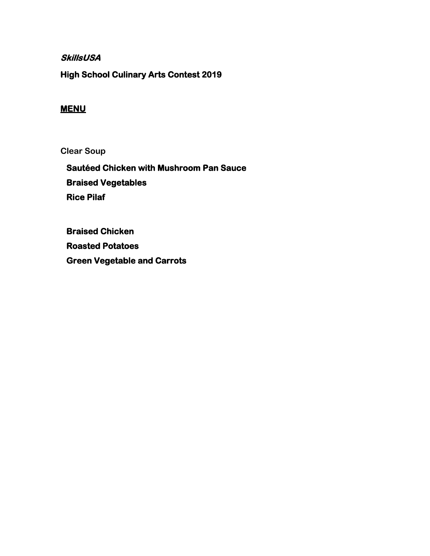**SkillsUSA** 

**High School Culinary Arts Contest 2019** 

### **MENU**

**Clear Soup**

**Sautéed Chicken with Mushroom Pan Sauce Braised Vegetables Rice Pilaf** 

**Braised Chicken Roasted Potatoes Green Vegetable and Carrots**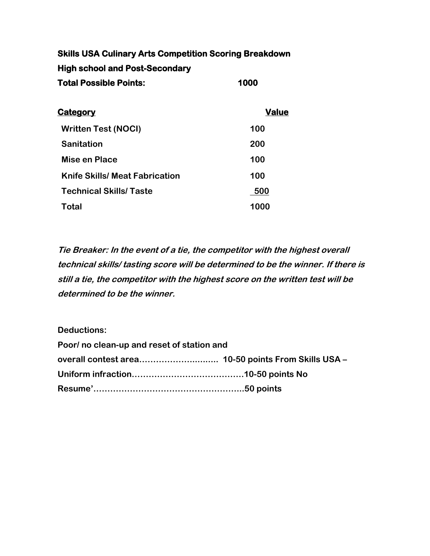# **Skills USA Culinary Arts Competition Scoring Breakdown High school and Post-Secondary Total Possible Points: 1000**

| Ca <u>tegory</u>                      | Value |
|---------------------------------------|-------|
| <b>Written Test (NOCI)</b>            | 100   |
| <b>Sanitation</b>                     | 200   |
| Mise en Place                         | 100   |
| <b>Knife Skills/ Meat Fabrication</b> | 100   |
| <b>Technical Skills/Taste</b>         | 500   |
| Total                                 | 1000  |

**Tie Breaker: In the event of a tie, the competitor with the highest overall technical skills/ tasting score will be determined to be the winner. If there is still a tie, the competitor with the highest score on the written test will be determined to be the winner.**

**Deductions:**

| Poor/ no clean-up and reset of station and |  |
|--------------------------------------------|--|
|                                            |  |
|                                            |  |
|                                            |  |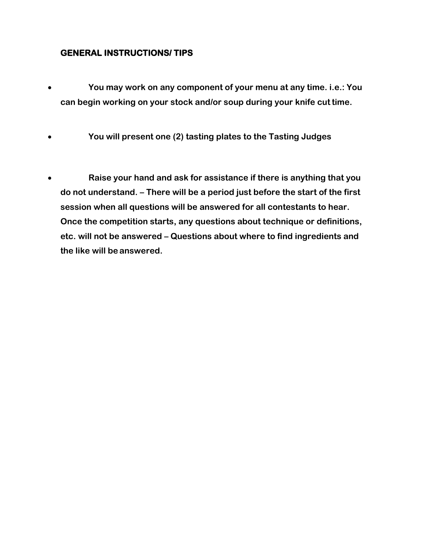## **GENERAL INSTRUCTIONS/ TIPS**

- **You may work on any component of your menu at any time. i.e.: You can begin working on your stock and/or soup during your knife cut time.**
- **You will present one (2) tasting plates to the Tasting Judges**
- **Raise your hand and ask for assistance if there is anything that you do not understand. – There will be a period just before the start of the first session when all questions will be answered for all contestants to hear. Once the competition starts, any questions about technique or definitions, etc. will not be answered – Questions about where to find ingredients and the like will be answered.**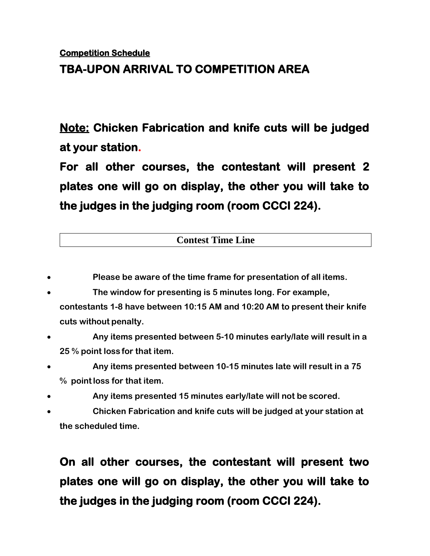# **TBA-UPON ARRIVAL TO COMPETITION AREA**

**Note: Chicken Fabrication and knife cuts will be judged at your station.**

**For all other courses, the contestant will present 2 plates one will go on display, the other you will take to the judges in the judging room (room CCCI 224).** 

| <b>Contest Time Line</b> |  |
|--------------------------|--|
|                          |  |

- **Please be aware of the time frame for presentation of all items.**
- **The window for presenting is 5 minutes long. For example, contestants 1-8 have between 10:15 AM and 10:20 AM to present their knife cuts without penalty.**
- **Any items presented between 5-10 minutes early/late will result in a 25 % point loss for that item.**
- **Any items presented between 10-15 minutes late will result in a 75 % pointloss for that item.**
- **Any items presented 15 minutes early/late will not be scored.**
- **Chicken Fabrication and knife cuts will be judged at your station at the scheduled time.**

**On all other courses, the contestant will present two plates one will go on display, the other you will take to the judges in the judging room (room CCCI 224).**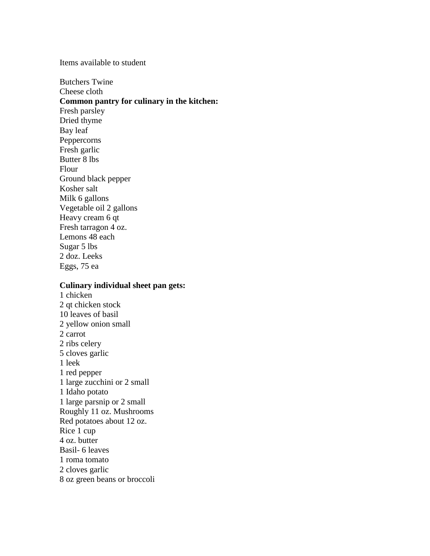Items available to student

Butchers Twine Cheese cloth **Common pantry for culinary in the kitchen:** Fresh parsley Dried thyme Bay leaf Peppercorns Fresh garlic Butter 8 lbs Flour Ground black pepper Kosher salt Milk 6 gallons Vegetable oil 2 gallons Heavy cream 6 qt Fresh tarragon 4 oz. Lemons 48 each Sugar 5 lbs 2 doz. Leeks Eggs, 75 ea

#### **Culinary individual sheet pan gets:**

1 chicken 2 qt chicken stock 10 leaves of basil 2 yellow onion small 2 carrot 2 ribs celery 5 cloves garlic 1 leek 1 red pepper 1 large zucchini or 2 small 1 Idaho potato 1 large parsnip or 2 small Roughly 11 oz. Mushrooms Red potatoes about 12 oz. Rice 1 cup 4 oz. butter Basil- 6 leaves 1 roma tomato 2 cloves garlic 8 oz green beans or broccoli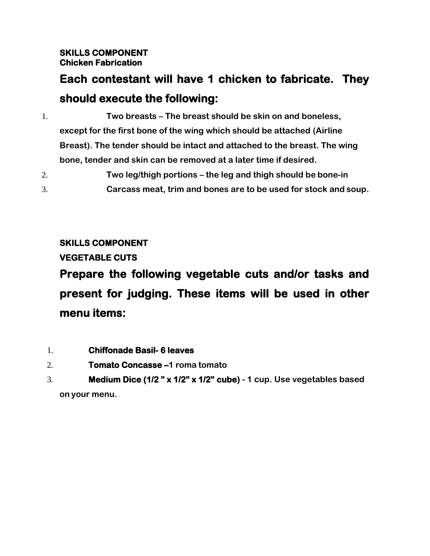# **Each contestant will have 1 chicken to fabricate. They should execute the following:**

- 1. **Two breasts – The breast should be skin on and boneless, except for the first bone of the wing which should be attached (Airline Breast). The tender should be intact and attached to the breast. The wing bone, tender and skin can be removed at a later time if desired.**
- 2. **Two leg/thigh portions – the leg and thigh should be bone-in** 3. **Carcass meat, trim and bones are to be used for stock and soup.**

# **SKILLS COMPONENT VEGETABLE CUTS Prepare the following vegetable cuts and/or tasks and present for judging. These items will be used in other menu items:**

- 1. **Chiffonade Basil- 6 leaves**
- 2. **Tomato Concasse –1 roma tomato**
- 3. **Medium Dice (1/2 " x 1/2" x 1/2" cube) - 1 cup. Use vegetables based on your menu.**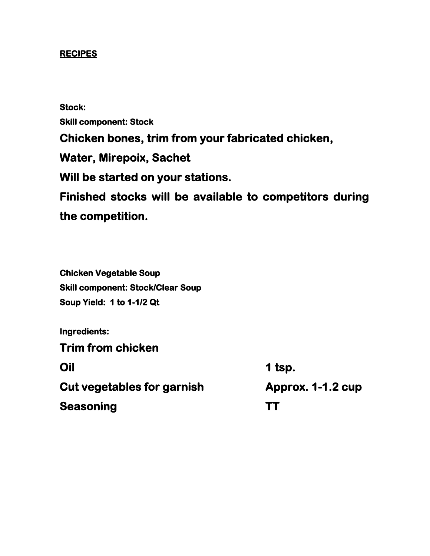## **RECIPES**

**Stock: Skill component: Stock Chicken bones, trim from your fabricated chicken, Water, Mirepoix, Sachet Will be started on your stations. Finished stocks will be available to competitors during the competition.** 

**Chicken Vegetable Soup Skill component: Stock/Clear Soup Soup Yield: 1 to 1-1/2 Qt** 

**Ingredients: Trim from chicken Oil** 1 tsp. **1 Cut vegetables for garnish Approx. 1-1.2 cup Seasoning TT**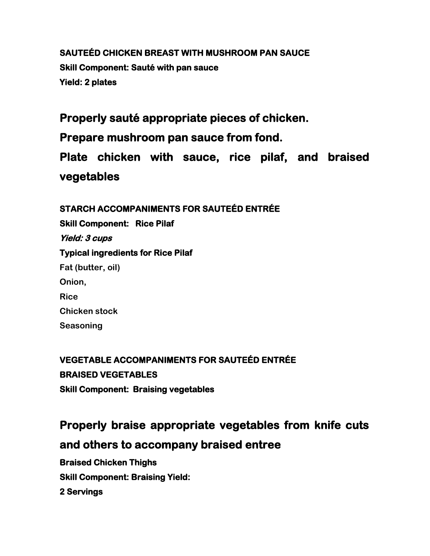**SAUTEÉD CHICKEN BREAST WITH MUSHROOM PAN SAUCE Skill Component: Sauté with pan sauce Yield: 2 plates** 

**Properly sauté appropriate pieces of chicken.** 

**Prepare mushroom pan sauce from fond.** 

**Plate chicken with sauce, rice pilaf, and braised vegetables** 

**STARCH ACCOMPANIMENTS FOR SAUTEÉD ENTRÉE Skill Component: Rice Pilaf Yield: 3 cups Typical ingredients for Rice Pilaf Fat (butter, oil) Onion, Rice Chicken stock Seasoning**

**VEGETABLE ACCOMPANIMENTS FOR SAUTEÉD ENTRÉE BRAISED VEGETABLES Skill Component: Braising vegetables** 

# **Properly braise appropriate vegetables from knife cuts and others to accompany braised entree**

**Braised Chicken Thighs Skill Component: Braising Yield:** 

**2 Servings**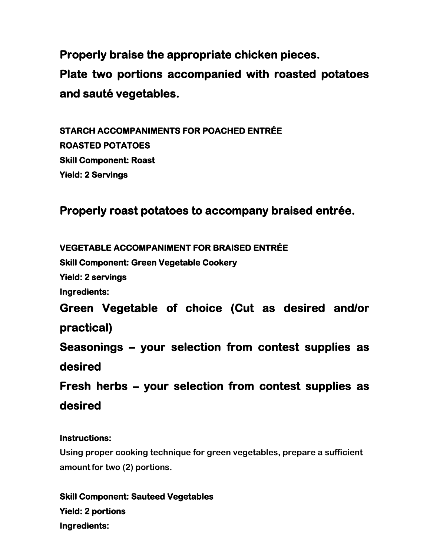**Properly braise the appropriate chicken pieces. Plate two portions accompanied with roasted potatoes and sauté vegetables.** 

**STARCH ACCOMPANIMENTS FOR POACHED ENTRÉE ROASTED POTATOES Skill Component: Roast Yield: 2 Servings** 

# **Properly roast potatoes to accompany braised entrée.**

**VEGETABLE ACCOMPANIMENT FOR BRAISED ENTRÉE Skill Component: Green Vegetable Cookery Yield: 2 servings Ingredients: Green Vegetable of choice (Cut as desired and/or practical) Seasonings – your selection from contest supplies as desired Fresh herbs – your selection from contest supplies as desired** 

### **Instructions:**

**Using proper cooking technique for green vegetables, prepare a sufficient amountfor two (2) portions.**

**Skill Component: Sauteed Vegetables Yield: 2 portions Ingredients:**